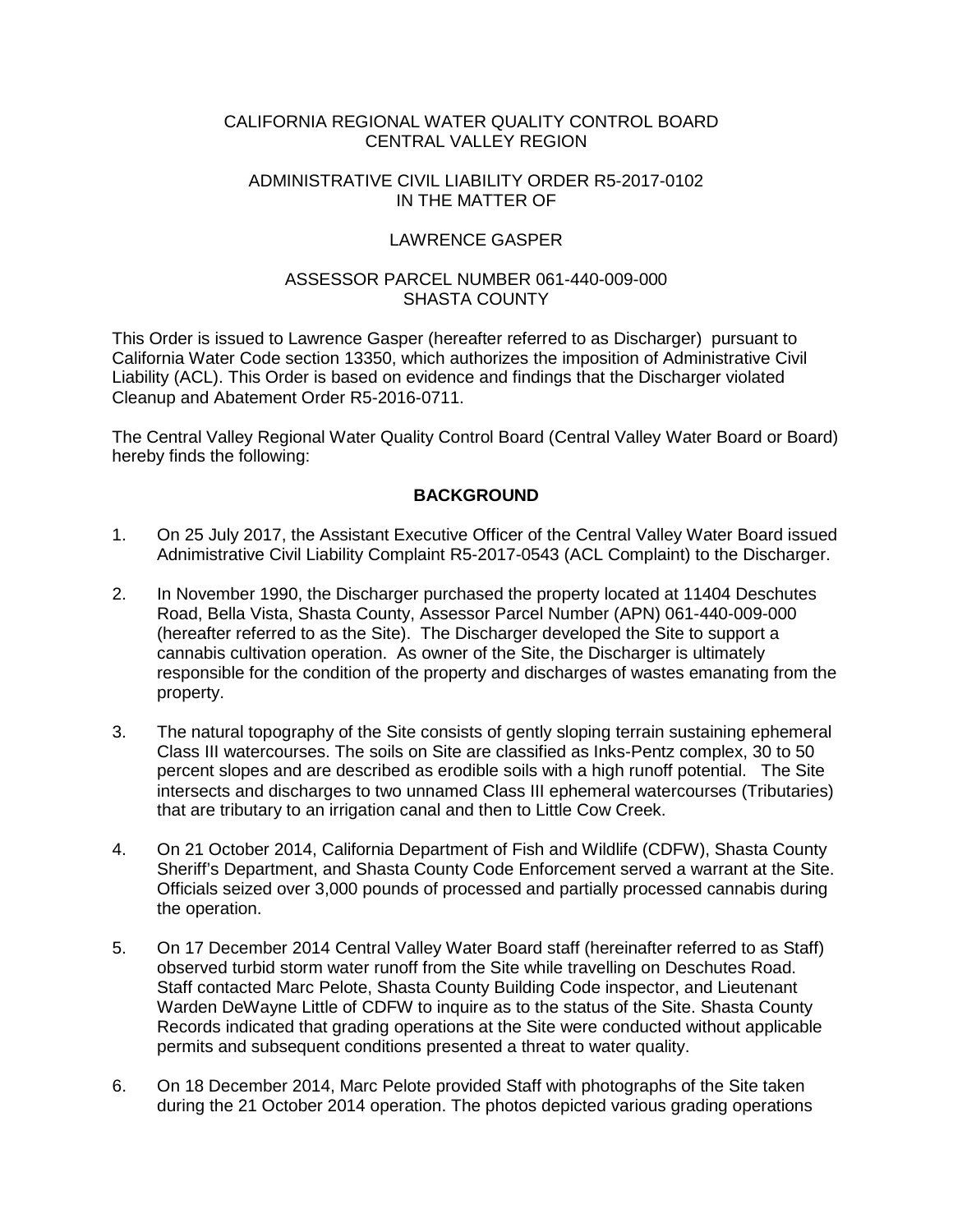#### CALIFORNIA REGIONAL WATER QUALITY CONTROL BOARD CENTRAL VALLEY REGION

#### ADMINISTRATIVE CIVIL LIABILITY ORDER R5-2017-0102 IN THE MATTER OF

## LAWRENCE GASPER

### ASSESSOR PARCEL NUMBER 061-440-009-000 SHASTA COUNTY

This Order is issued to Lawrence Gasper (hereafter referred to as Discharger) pursuant to California Water Code section 13350, which authorizes the imposition of Administrative Civil Liability (ACL). This Order is based on evidence and findings that the Discharger violated Cleanup and Abatement Order R5-2016-0711.

The Central Valley Regional Water Quality Control Board (Central Valley Water Board or Board) hereby finds the following:

## **BACKGROUND**

- 1. On 25 July 2017, the Assistant Executive Officer of the Central Valley Water Board issued Adnimistrative Civil Liability Complaint R5-2017-0543 (ACL Complaint) to the Discharger.
- 2. In November 1990, the Discharger purchased the property located at 11404 Deschutes Road, Bella Vista, Shasta County, Assessor Parcel Number (APN) 061-440-009-000 (hereafter referred to as the Site). The Discharger developed the Site to support a cannabis cultivation operation. As owner of the Site, the Discharger is ultimately responsible for the condition of the property and discharges of wastes emanating from the property.
- 3. The natural topography of the Site consists of gently sloping terrain sustaining ephemeral Class III watercourses. The soils on Site are classified as Inks-Pentz complex, 30 to 50 percent slopes and are described as erodible soils with a high runoff potential. The Site intersects and discharges to two unnamed Class III ephemeral watercourses (Tributaries) that are tributary to an irrigation canal and then to Little Cow Creek.
- 4. On 21 October 2014, California Department of Fish and Wildlife (CDFW), Shasta County Sheriff's Department, and Shasta County Code Enforcement served a warrant at the Site. Officials seized over 3,000 pounds of processed and partially processed cannabis during the operation.
- 5. On 17 December 2014 Central Valley Water Board staff (hereinafter referred to as Staff) observed turbid storm water runoff from the Site while travelling on Deschutes Road. Staff contacted Marc Pelote, Shasta County Building Code inspector, and Lieutenant Warden DeWayne Little of CDFW to inquire as to the status of the Site. Shasta County Records indicated that grading operations at the Site were conducted without applicable permits and subsequent conditions presented a threat to water quality.
- 6. On 18 December 2014, Marc Pelote provided Staff with photographs of the Site taken during the 21 October 2014 operation. The photos depicted various grading operations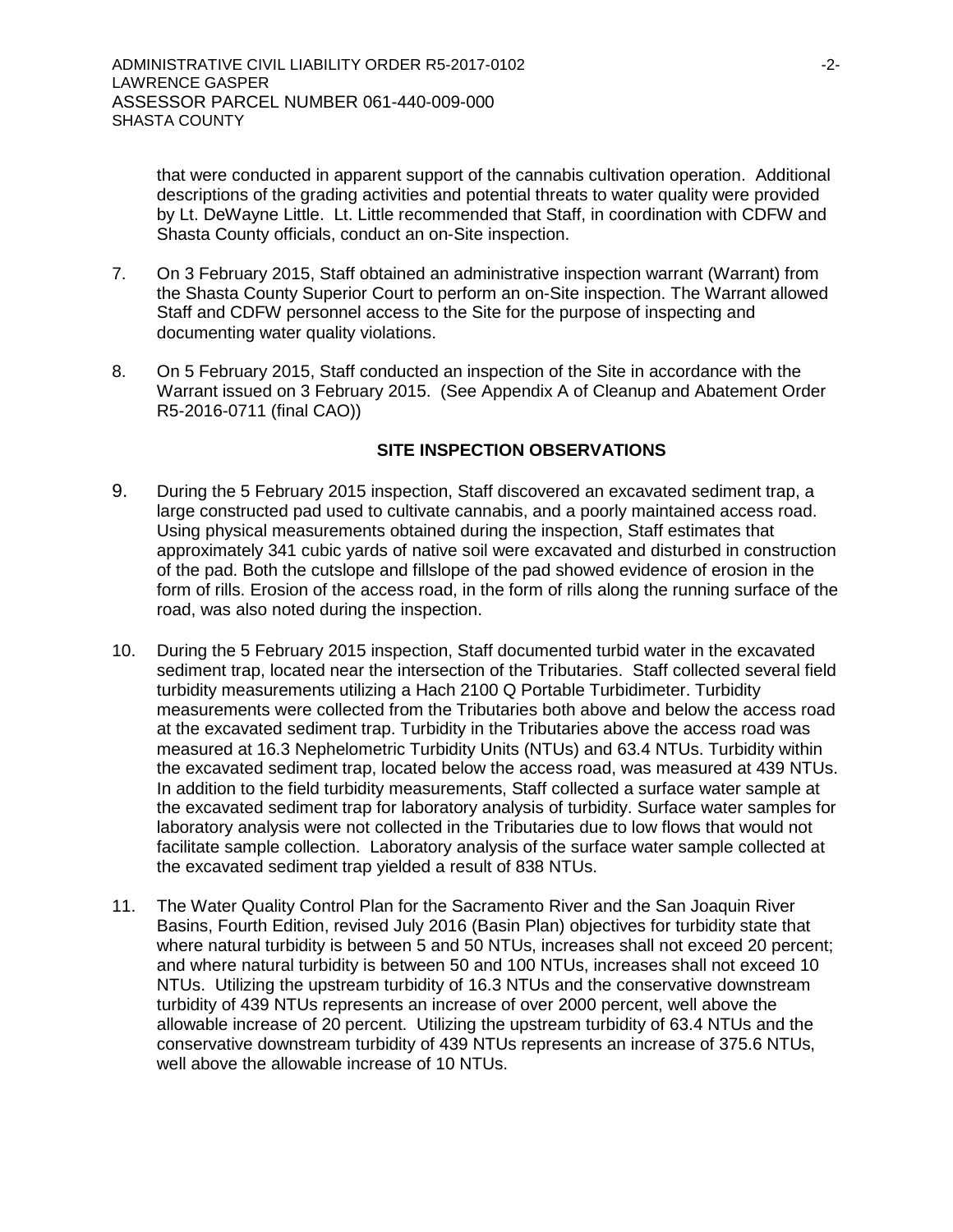that were conducted in apparent support of the cannabis cultivation operation. Additional descriptions of the grading activities and potential threats to water quality were provided by Lt. DeWayne Little. Lt. Little recommended that Staff, in coordination with CDFW and Shasta County officials, conduct an on-Site inspection.

- 7. On 3 February 2015, Staff obtained an administrative inspection warrant (Warrant) from the Shasta County Superior Court to perform an on-Site inspection. The Warrant allowed Staff and CDFW personnel access to the Site for the purpose of inspecting and documenting water quality violations.
- 8. On 5 February 2015, Staff conducted an inspection of the Site in accordance with the Warrant issued on 3 February 2015. (See Appendix A of Cleanup and Abatement Order R5-2016-0711 (final CAO))

#### **SITE INSPECTION OBSERVATIONS**

- 9. During the 5 February 2015 inspection, Staff discovered an excavated sediment trap, a large constructed pad used to cultivate cannabis, and a poorly maintained access road. Using physical measurements obtained during the inspection, Staff estimates that approximately 341 cubic yards of native soil were excavated and disturbed in construction of the pad. Both the cutslope and fillslope of the pad showed evidence of erosion in the form of rills. Erosion of the access road, in the form of rills along the running surface of the road, was also noted during the inspection.
- 10. During the 5 February 2015 inspection, Staff documented turbid water in the excavated sediment trap, located near the intersection of the Tributaries. Staff collected several field turbidity measurements utilizing a Hach 2100 Q Portable Turbidimeter. Turbidity measurements were collected from the Tributaries both above and below the access road at the excavated sediment trap. Turbidity in the Tributaries above the access road was measured at 16.3 Nephelometric Turbidity Units (NTUs) and 63.4 NTUs. Turbidity within the excavated sediment trap, located below the access road, was measured at 439 NTUs. In addition to the field turbidity measurements, Staff collected a surface water sample at the excavated sediment trap for laboratory analysis of turbidity. Surface water samples for laboratory analysis were not collected in the Tributaries due to low flows that would not facilitate sample collection. Laboratory analysis of the surface water sample collected at the excavated sediment trap yielded a result of 838 NTUs.
- 11. The Water Quality Control Plan for the Sacramento River and the San Joaquin River Basins, Fourth Edition, revised July 2016 (Basin Plan) objectives for turbidity state that where natural turbidity is between 5 and 50 NTUs, increases shall not exceed 20 percent; and where natural turbidity is between 50 and 100 NTUs, increases shall not exceed 10 NTUs. Utilizing the upstream turbidity of 16.3 NTUs and the conservative downstream turbidity of 439 NTUs represents an increase of over 2000 percent, well above the allowable increase of 20 percent. Utilizing the upstream turbidity of 63.4 NTUs and the conservative downstream turbidity of 439 NTUs represents an increase of 375.6 NTUs, well above the allowable increase of 10 NTUs.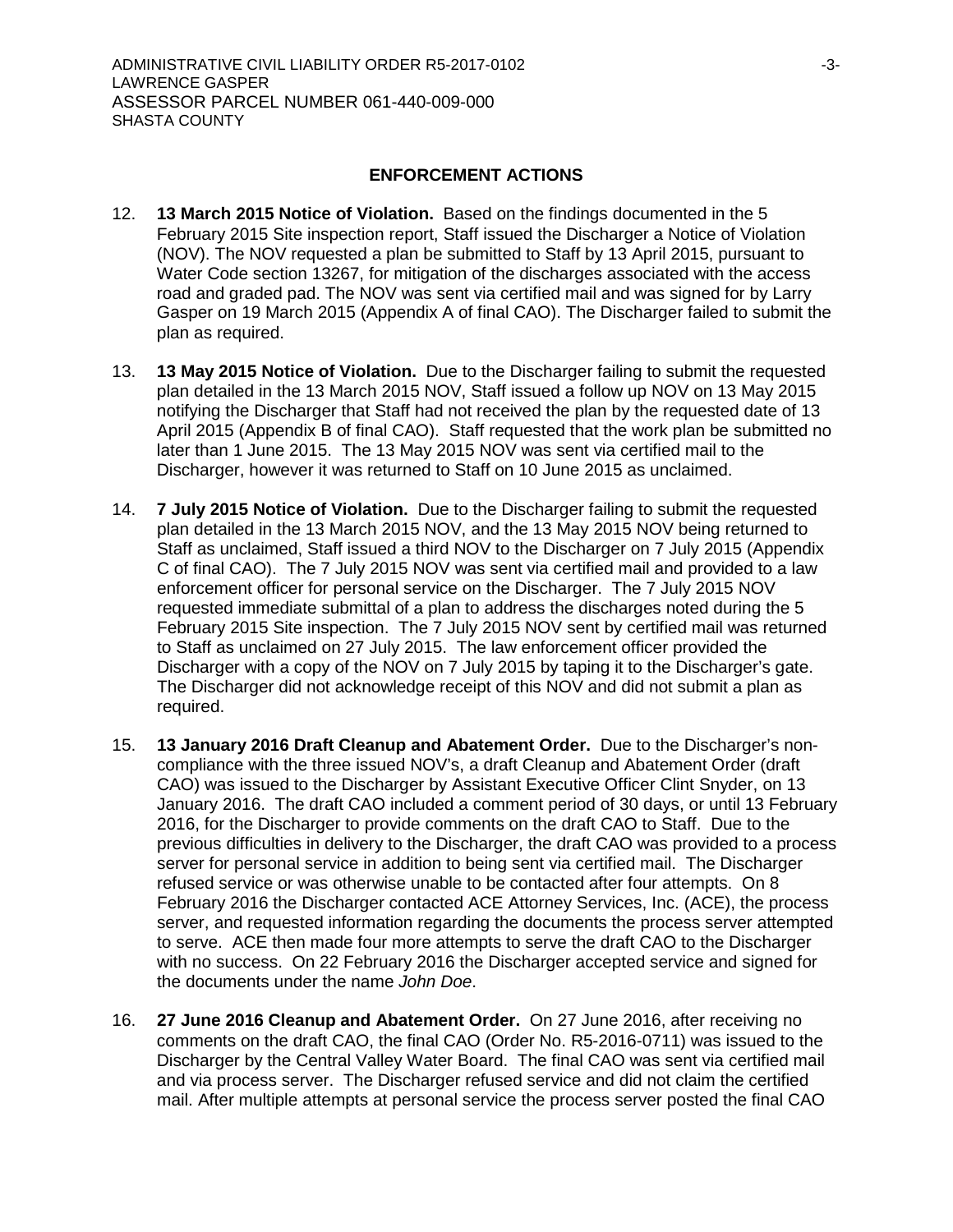#### **ENFORCEMENT ACTIONS**

- 12. **13 March 2015 Notice of Violation.** Based on the findings documented in the 5 February 2015 Site inspection report, Staff issued the Discharger a Notice of Violation (NOV). The NOV requested a plan be submitted to Staff by 13 April 2015, pursuant to Water Code section 13267, for mitigation of the discharges associated with the access road and graded pad. The NOV was sent via certified mail and was signed for by Larry Gasper on 19 March 2015 (Appendix A of final CAO). The Discharger failed to submit the plan as required.
- 13. **13 May 2015 Notice of Violation.** Due to the Discharger failing to submit the requested plan detailed in the 13 March 2015 NOV, Staff issued a follow up NOV on 13 May 2015 notifying the Discharger that Staff had not received the plan by the requested date of 13 April 2015 (Appendix B of final CAO). Staff requested that the work plan be submitted no later than 1 June 2015. The 13 May 2015 NOV was sent via certified mail to the Discharger, however it was returned to Staff on 10 June 2015 as unclaimed.
- 14. **7 July 2015 Notice of Violation.** Due to the Discharger failing to submit the requested plan detailed in the 13 March 2015 NOV, and the 13 May 2015 NOV being returned to Staff as unclaimed, Staff issued a third NOV to the Discharger on 7 July 2015 (Appendix C of final CAO). The 7 July 2015 NOV was sent via certified mail and provided to a law enforcement officer for personal service on the Discharger. The 7 July 2015 NOV requested immediate submittal of a plan to address the discharges noted during the 5 February 2015 Site inspection. The 7 July 2015 NOV sent by certified mail was returned to Staff as unclaimed on 27 July 2015. The law enforcement officer provided the Discharger with a copy of the NOV on 7 July 2015 by taping it to the Discharger's gate. The Discharger did not acknowledge receipt of this NOV and did not submit a plan as required.
- 15. **13 January 2016 Draft Cleanup and Abatement Order.** Due to the Discharger's noncompliance with the three issued NOV's, a draft Cleanup and Abatement Order (draft CAO) was issued to the Discharger by Assistant Executive Officer Clint Snyder, on 13 January 2016. The draft CAO included a comment period of 30 days, or until 13 February 2016, for the Discharger to provide comments on the draft CAO to Staff. Due to the previous difficulties in delivery to the Discharger, the draft CAO was provided to a process server for personal service in addition to being sent via certified mail. The Discharger refused service or was otherwise unable to be contacted after four attempts. On 8 February 2016 the Discharger contacted ACE Attorney Services, Inc. (ACE), the process server, and requested information regarding the documents the process server attempted to serve. ACE then made four more attempts to serve the draft CAO to the Discharger with no success. On 22 February 2016 the Discharger accepted service and signed for the documents under the name *John Doe*.
- 16. **27 June 2016 Cleanup and Abatement Order.** On 27 June 2016, after receiving no comments on the draft CAO, the final CAO (Order No. R5-2016-0711) was issued to the Discharger by the Central Valley Water Board. The final CAO was sent via certified mail and via process server. The Discharger refused service and did not claim the certified mail. After multiple attempts at personal service the process server posted the final CAO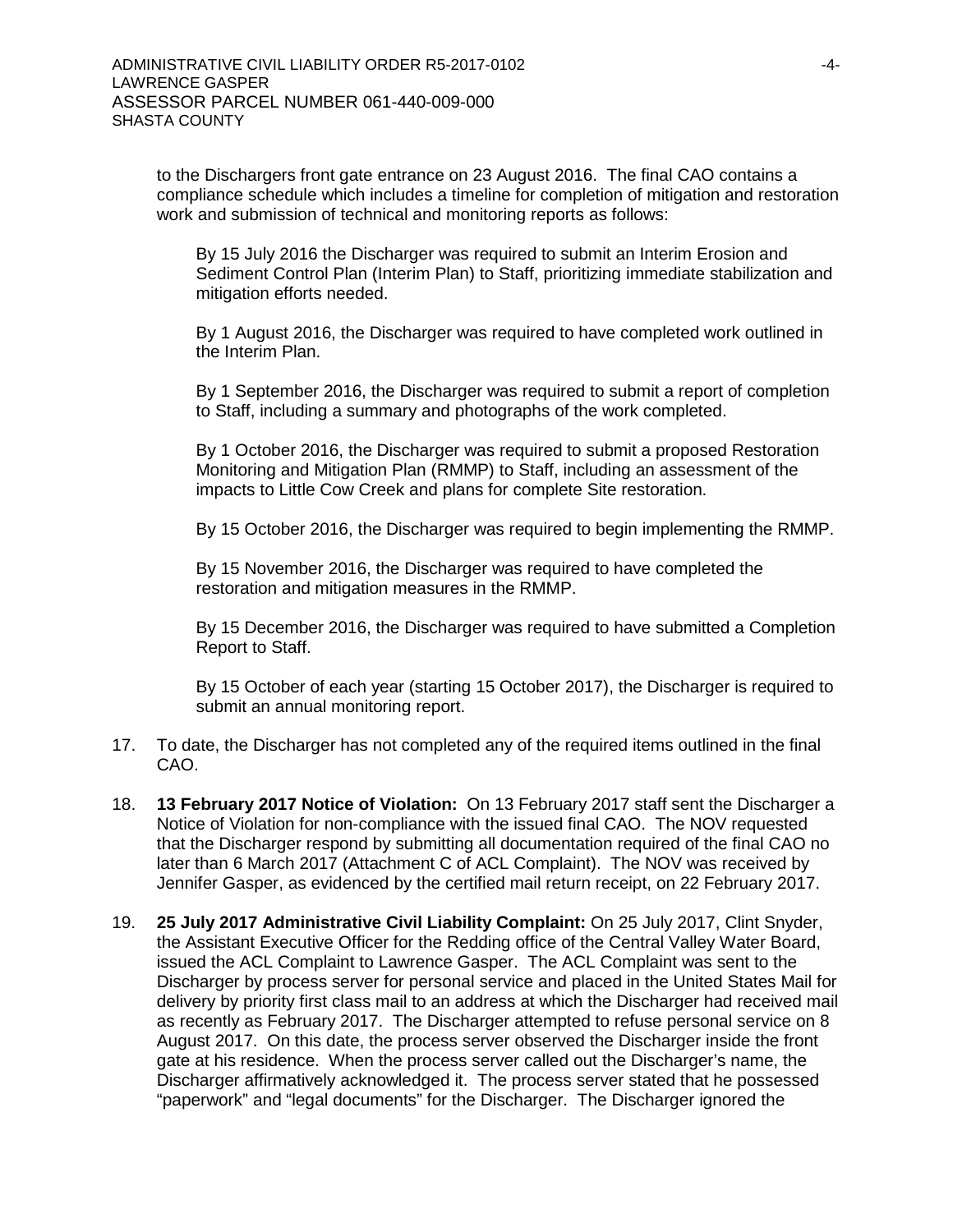to the Dischargers front gate entrance on 23 August 2016. The final CAO contains a compliance schedule which includes a timeline for completion of mitigation and restoration work and submission of technical and monitoring reports as follows:

By 15 July 2016 the Discharger was required to submit an Interim Erosion and Sediment Control Plan (Interim Plan) to Staff, prioritizing immediate stabilization and mitigation efforts needed.

By 1 August 2016, the Discharger was required to have completed work outlined in the Interim Plan.

By 1 September 2016, the Discharger was required to submit a report of completion to Staff, including a summary and photographs of the work completed.

By 1 October 2016, the Discharger was required to submit a proposed Restoration Monitoring and Mitigation Plan (RMMP) to Staff, including an assessment of the impacts to Little Cow Creek and plans for complete Site restoration.

By 15 October 2016, the Discharger was required to begin implementing the RMMP.

By 15 November 2016, the Discharger was required to have completed the restoration and mitigation measures in the RMMP.

By 15 December 2016, the Discharger was required to have submitted a Completion Report to Staff.

By 15 October of each year (starting 15 October 2017), the Discharger is required to submit an annual monitoring report.

- 17. To date, the Discharger has not completed any of the required items outlined in the final CAO.
- 18. **13 February 2017 Notice of Violation:** On 13 February 2017 staff sent the Discharger a Notice of Violation for non-compliance with the issued final CAO. The NOV requested that the Discharger respond by submitting all documentation required of the final CAO no later than 6 March 2017 (Attachment C of ACL Complaint). The NOV was received by Jennifer Gasper, as evidenced by the certified mail return receipt, on 22 February 2017.
- 19. **25 July 2017 Administrative Civil Liability Complaint:** On 25 July 2017, Clint Snyder, the Assistant Executive Officer for the Redding office of the Central Valley Water Board, issued the ACL Complaint to Lawrence Gasper. The ACL Complaint was sent to the Discharger by process server for personal service and placed in the United States Mail for delivery by priority first class mail to an address at which the Discharger had received mail as recently as February 2017. The Discharger attempted to refuse personal service on 8 August 2017. On this date, the process server observed the Discharger inside the front gate at his residence. When the process server called out the Discharger's name, the Discharger affirmatively acknowledged it. The process server stated that he possessed "paperwork" and "legal documents" for the Discharger. The Discharger ignored the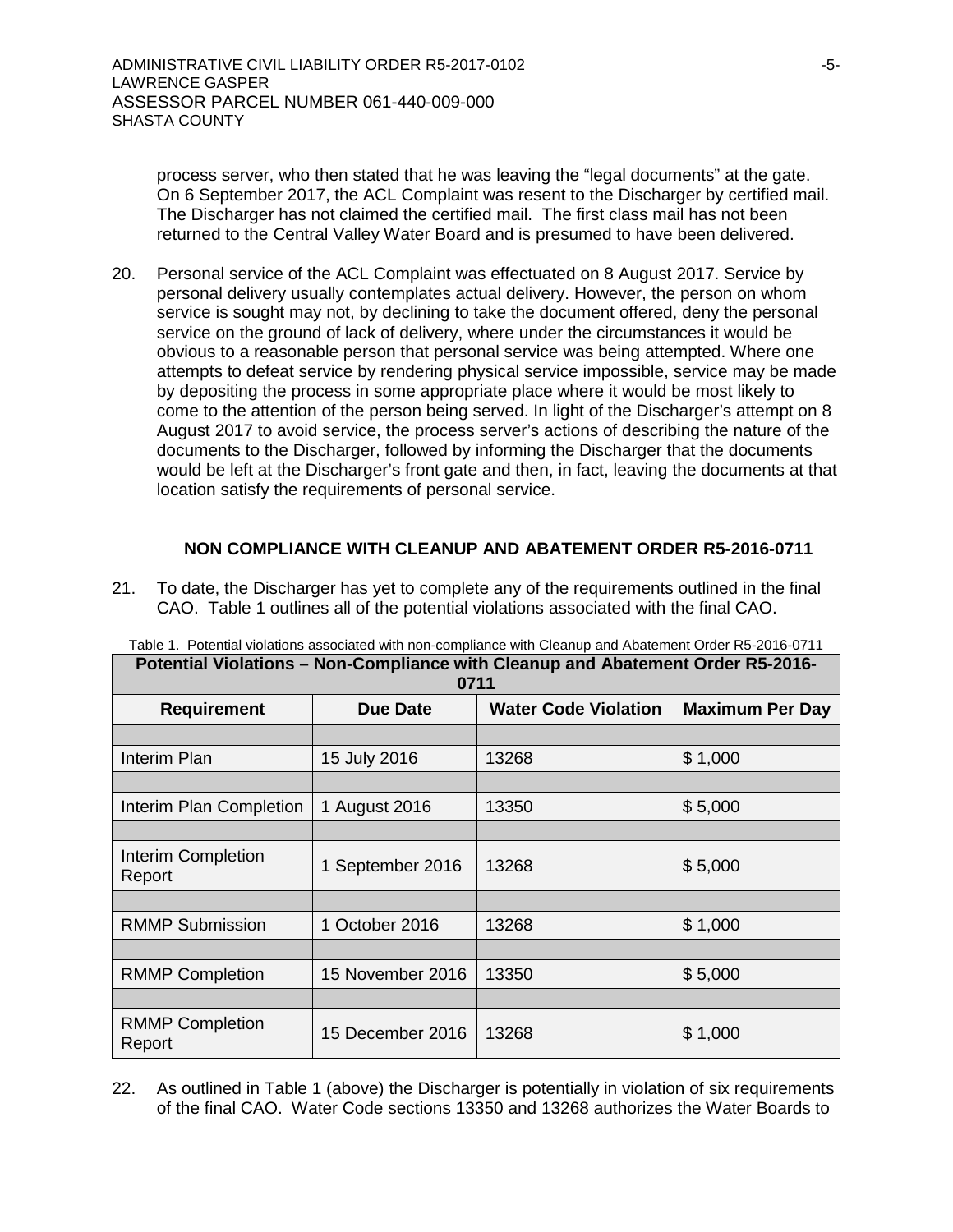process server, who then stated that he was leaving the "legal documents" at the gate. On 6 September 2017, the ACL Complaint was resent to the Discharger by certified mail. The Discharger has not claimed the certified mail. The first class mail has not been returned to the Central Valley Water Board and is presumed to have been delivered.

20. Personal service of the ACL Complaint was effectuated on 8 August 2017. Service by personal delivery usually contemplates actual delivery. However, the person on whom service is sought may not, by declining to take the document offered, deny the personal service on the ground of lack of delivery, where under the circumstances it would be obvious to a reasonable person that personal service was being attempted. Where one attempts to defeat service by rendering physical service impossible, service may be made by depositing the process in some appropriate place where it would be most likely to come to the attention of the person being served. In light of the Discharger's attempt on 8 August 2017 to avoid service, the process server's actions of describing the nature of the documents to the Discharger, followed by informing the Discharger that the documents would be left at the Discharger's front gate and then, in fact, leaving the documents at that location satisfy the requirements of personal service.

#### **NON COMPLIANCE WITH CLEANUP AND ABATEMENT ORDER R5-2016-0711**

21. To date, the Discharger has yet to complete any of the requirements outlined in the final CAO. Table 1 outlines all of the potential violations associated with the final CAO.

| Putenual Violations – Non-Compilative With Cleanup and Abatement Order NJ-2010-<br>0711 |                  |                             |                        |  |  |  |
|-----------------------------------------------------------------------------------------|------------------|-----------------------------|------------------------|--|--|--|
| <b>Requirement</b>                                                                      | <b>Due Date</b>  | <b>Water Code Violation</b> | <b>Maximum Per Day</b> |  |  |  |
|                                                                                         |                  |                             |                        |  |  |  |
| Interim Plan                                                                            | 15 July 2016     | 13268                       | \$1,000                |  |  |  |
|                                                                                         |                  |                             |                        |  |  |  |
| Interim Plan Completion                                                                 | 1 August 2016    | 13350                       | \$5,000                |  |  |  |
|                                                                                         |                  |                             |                        |  |  |  |
| <b>Interim Completion</b><br>Report                                                     | 1 September 2016 | 13268                       | \$5,000                |  |  |  |
|                                                                                         |                  |                             |                        |  |  |  |
| <b>RMMP Submission</b>                                                                  | 1 October 2016   | 13268                       | \$1,000                |  |  |  |
|                                                                                         |                  |                             |                        |  |  |  |
| <b>RMMP Completion</b>                                                                  | 15 November 2016 | 13350                       | \$5,000                |  |  |  |
|                                                                                         |                  |                             |                        |  |  |  |
| <b>RMMP Completion</b><br>Report                                                        | 15 December 2016 | 13268                       | \$1,000                |  |  |  |

Table 1. Potential violations associated with non-compliance with Cleanup and Abatement Order R5-2016-0711 **Potential Violations – Non-Compliance with Cleanup and Abatement Order R5-2016-**

22. As outlined in Table 1 (above) the Discharger is potentially in violation of six requirements of the final CAO. Water Code sections 13350 and 13268 authorizes the Water Boards to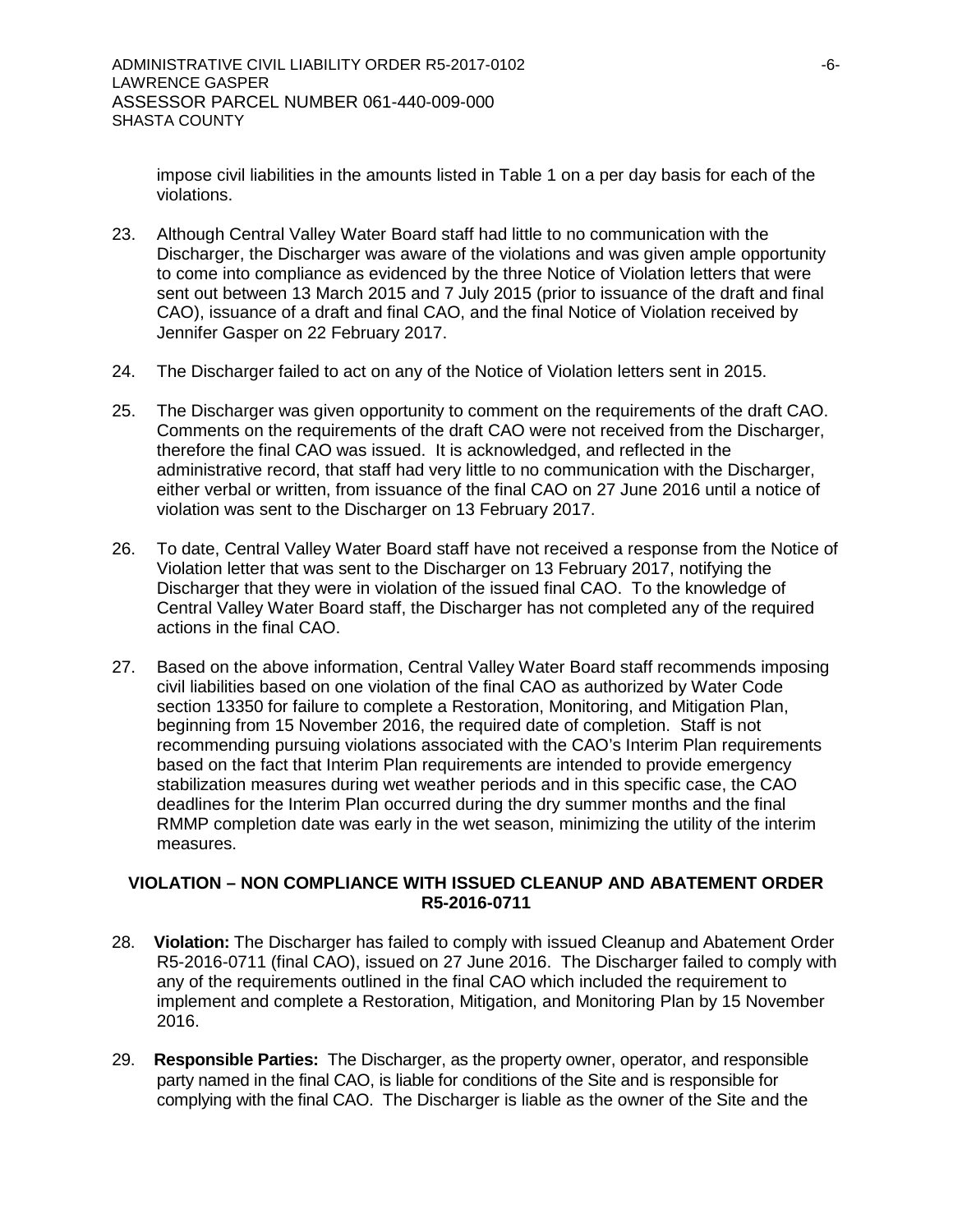impose civil liabilities in the amounts listed in Table 1 on a per day basis for each of the violations.

- 23. Although Central Valley Water Board staff had little to no communication with the Discharger, the Discharger was aware of the violations and was given ample opportunity to come into compliance as evidenced by the three Notice of Violation letters that were sent out between 13 March 2015 and 7 July 2015 (prior to issuance of the draft and final CAO), issuance of a draft and final CAO, and the final Notice of Violation received by Jennifer Gasper on 22 February 2017.
- 24. The Discharger failed to act on any of the Notice of Violation letters sent in 2015.
- 25. The Discharger was given opportunity to comment on the requirements of the draft CAO. Comments on the requirements of the draft CAO were not received from the Discharger, therefore the final CAO was issued. It is acknowledged, and reflected in the administrative record, that staff had very little to no communication with the Discharger, either verbal or written, from issuance of the final CAO on 27 June 2016 until a notice of violation was sent to the Discharger on 13 February 2017.
- 26. To date, Central Valley Water Board staff have not received a response from the Notice of Violation letter that was sent to the Discharger on 13 February 2017, notifying the Discharger that they were in violation of the issued final CAO. To the knowledge of Central Valley Water Board staff, the Discharger has not completed any of the required actions in the final CAO.
- 27. Based on the above information, Central Valley Water Board staff recommends imposing civil liabilities based on one violation of the final CAO as authorized by Water Code section 13350 for failure to complete a Restoration, Monitoring, and Mitigation Plan, beginning from 15 November 2016, the required date of completion. Staff is not recommending pursuing violations associated with the CAO's Interim Plan requirements based on the fact that Interim Plan requirements are intended to provide emergency stabilization measures during wet weather periods and in this specific case, the CAO deadlines for the Interim Plan occurred during the dry summer months and the final RMMP completion date was early in the wet season, minimizing the utility of the interim measures.

#### **VIOLATION – NON COMPLIANCE WITH ISSUED CLEANUP AND ABATEMENT ORDER R5-2016-0711**

- 28. **Violation:** The Discharger has failed to comply with issued Cleanup and Abatement Order R5-2016-0711 (final CAO), issued on 27 June 2016. The Discharger failed to comply with any of the requirements outlined in the final CAO which included the requirement to implement and complete a Restoration, Mitigation, and Monitoring Plan by 15 November 2016.
- 29. **Responsible Parties:** The Discharger, as the property owner, operator, and responsible party named in the final CAO, is liable for conditions of the Site and is responsible for complying with the final CAO. The Discharger is liable as the owner of the Site and the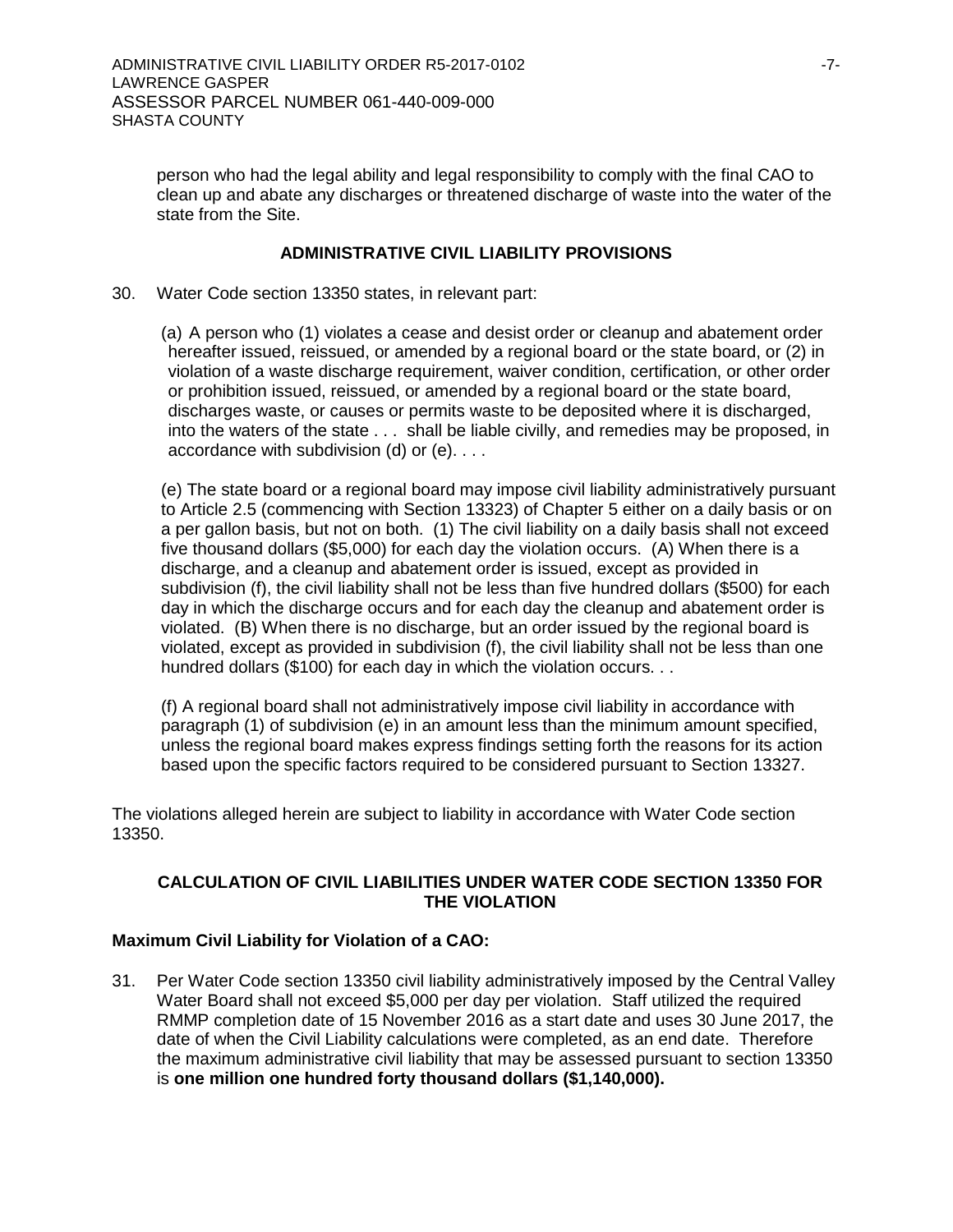person who had the legal ability and legal responsibility to comply with the final CAO to clean up and abate any discharges or threatened discharge of waste into the water of the state from the Site.

#### **ADMINISTRATIVE CIVIL LIABILITY PROVISIONS**

30. Water Code section 13350 states, in relevant part:

(a) A person who (1) violates a cease and desist order or cleanup and abatement order hereafter issued, reissued, or amended by a regional board or the state board, or (2) in violation of a waste discharge requirement, waiver condition, certification, or other order or prohibition issued, reissued, or amended by a regional board or the state board, discharges waste, or causes or permits waste to be deposited where it is discharged, into the waters of the state . . . shall be liable civilly, and remedies may be proposed, in accordance with subdivision (d) or (e). . . .

(e) The state board or a regional board may impose civil liability administratively pursuant to Article 2.5 (commencing with Section 13323) of Chapter 5 either on a daily basis or on a per gallon basis, but not on both. (1) The civil liability on a daily basis shall not exceed five thousand dollars (\$5,000) for each day the violation occurs. (A) When there is a discharge, and a cleanup and abatement order is issued, except as provided in subdivision (f), the civil liability shall not be less than five hundred dollars (\$500) for each day in which the discharge occurs and for each day the cleanup and abatement order is violated. (B) When there is no discharge, but an order issued by the regional board is violated, except as provided in subdivision (f), the civil liability shall not be less than one hundred dollars (\$100) for each day in which the violation occurs. . .

(f) A regional board shall not administratively impose civil liability in accordance with paragraph (1) of subdivision (e) in an amount less than the minimum amount specified, unless the regional board makes express findings setting forth the reasons for its action based upon the specific factors required to be considered pursuant to Section 13327.

The violations alleged herein are subject to liability in accordance with Water Code section 13350.

### **CALCULATION OF CIVIL LIABILITIES UNDER WATER CODE SECTION 13350 FOR THE VIOLATION**

#### **Maximum Civil Liability for Violation of a CAO:**

31. Per Water Code section 13350 civil liability administratively imposed by the Central Valley Water Board shall not exceed \$5,000 per day per violation. Staff utilized the required RMMP completion date of 15 November 2016 as a start date and uses 30 June 2017, the date of when the Civil Liability calculations were completed, as an end date. Therefore the maximum administrative civil liability that may be assessed pursuant to section 13350 is **one million one hundred forty thousand dollars (\$1,140,000).**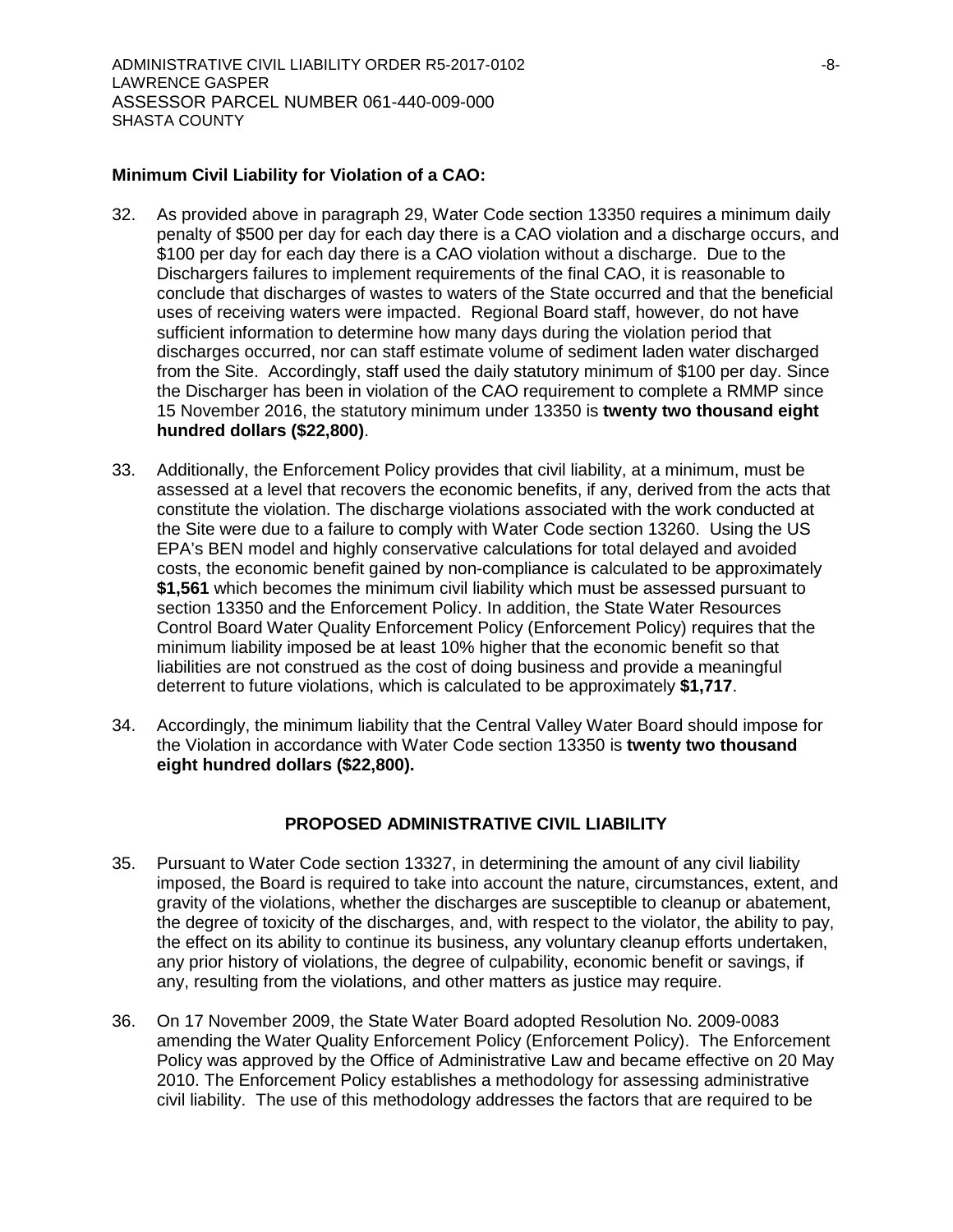#### **Minimum Civil Liability for Violation of a CAO:**

- 32. As provided above in paragraph 29, Water Code section 13350 requires a minimum daily penalty of \$500 per day for each day there is a CAO violation and a discharge occurs, and \$100 per day for each day there is a CAO violation without a discharge. Due to the Dischargers failures to implement requirements of the final CAO, it is reasonable to conclude that discharges of wastes to waters of the State occurred and that the beneficial uses of receiving waters were impacted. Regional Board staff, however, do not have sufficient information to determine how many days during the violation period that discharges occurred, nor can staff estimate volume of sediment laden water discharged from the Site. Accordingly, staff used the daily statutory minimum of \$100 per day. Since the Discharger has been in violation of the CAO requirement to complete a RMMP since 15 November 2016, the statutory minimum under 13350 is **twenty two thousand eight hundred dollars (\$22,800)**.
- 33. Additionally, the Enforcement Policy provides that civil liability, at a minimum, must be assessed at a level that recovers the economic benefits, if any, derived from the acts that constitute the violation. The discharge violations associated with the work conducted at the Site were due to a failure to comply with Water Code section 13260. Using the US EPA's BEN model and highly conservative calculations for total delayed and avoided costs, the economic benefit gained by non-compliance is calculated to be approximately **\$1,561** which becomes the minimum civil liability which must be assessed pursuant to section 13350 and the Enforcement Policy. In addition, the State Water Resources Control Board Water Quality Enforcement Policy (Enforcement Policy) requires that the minimum liability imposed be at least 10% higher that the economic benefit so that liabilities are not construed as the cost of doing business and provide a meaningful deterrent to future violations, which is calculated to be approximately **\$1,717**.
- 34. Accordingly, the minimum liability that the Central Valley Water Board should impose for the Violation in accordance with Water Code section 13350 is **twenty two thousand eight hundred dollars (\$22,800).**

### **PROPOSED ADMINISTRATIVE CIVIL LIABILITY**

- 35. Pursuant to Water Code section 13327, in determining the amount of any civil liability imposed, the Board is required to take into account the nature, circumstances, extent, and gravity of the violations, whether the discharges are susceptible to cleanup or abatement, the degree of toxicity of the discharges, and, with respect to the violator, the ability to pay, the effect on its ability to continue its business, any voluntary cleanup efforts undertaken, any prior history of violations, the degree of culpability, economic benefit or savings, if any, resulting from the violations, and other matters as justice may require.
- 36. On 17 November 2009, the State Water Board adopted Resolution No. 2009-0083 amending the Water Quality Enforcement Policy (Enforcement Policy). The Enforcement Policy was approved by the Office of Administrative Law and became effective on 20 May 2010. The Enforcement Policy establishes a methodology for assessing administrative civil liability. The use of this methodology addresses the factors that are required to be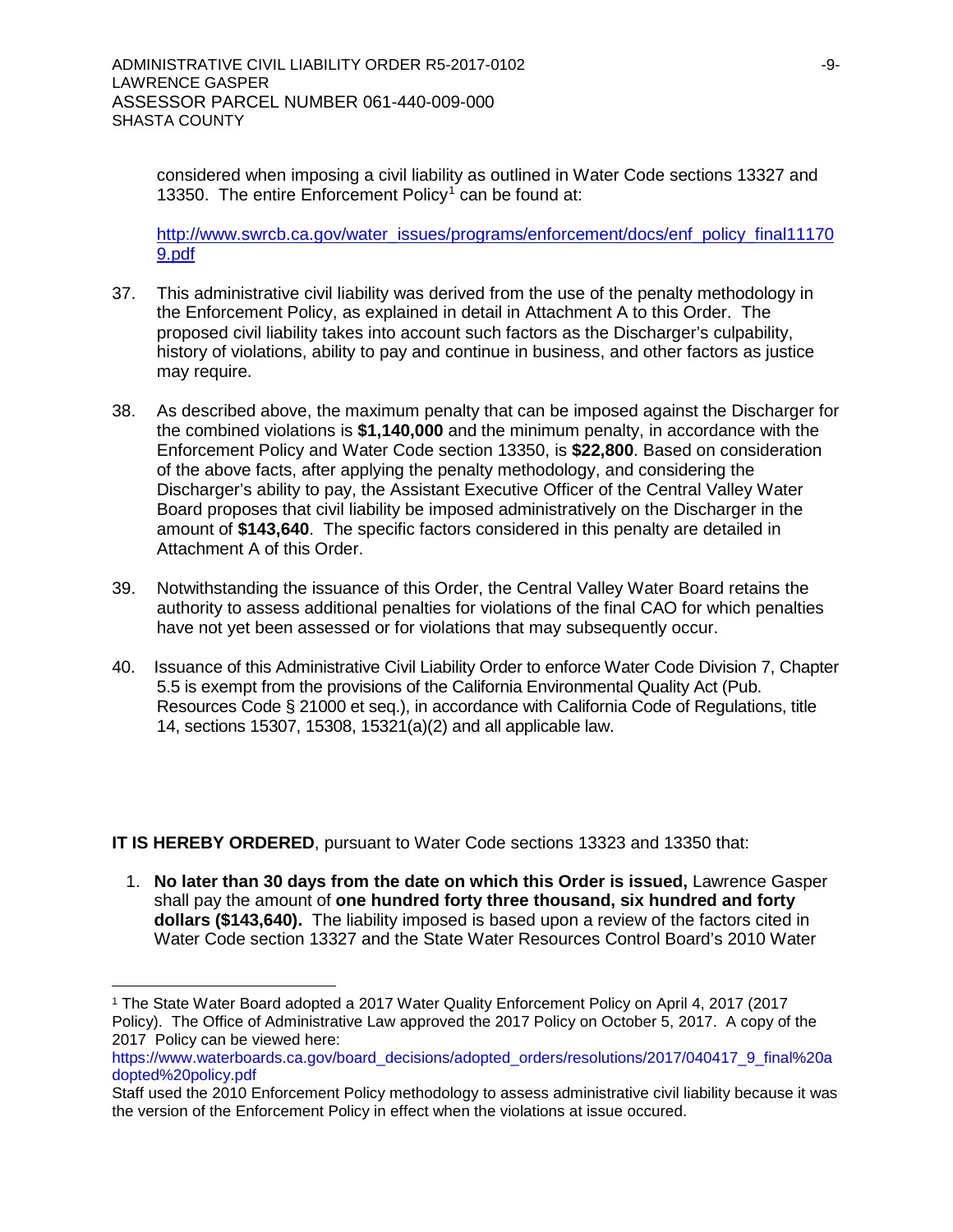considered when imposing a civil liability as outlined in Water Code sections 13327 and [1](#page-8-0)3350. The entire Enforcement Policy<sup>1</sup> can be found at:

[http://www.swrcb.ca.gov/water\\_issues/programs/enforcement/docs/enf\\_policy\\_final11170](http://www.swrcb.ca.gov/water_issues/programs/enforcement/docs/enf_policy_final111709.pdf) [9.pdf](http://www.swrcb.ca.gov/water_issues/programs/enforcement/docs/enf_policy_final111709.pdf)

- 37. This administrative civil liability was derived from the use of the penalty methodology in the Enforcement Policy, as explained in detail in Attachment A to this Order. The proposed civil liability takes into account such factors as the Discharger's culpability, history of violations, ability to pay and continue in business, and other factors as justice may require.
- 38. As described above, the maximum penalty that can be imposed against the Discharger for the combined violations is **\$1,140,000** and the minimum penalty, in accordance with the Enforcement Policy and Water Code section 13350, is **\$22,800**. Based on consideration of the above facts, after applying the penalty methodology, and considering the Discharger's ability to pay, the Assistant Executive Officer of the Central Valley Water Board proposes that civil liability be imposed administratively on the Discharger in the amount of **\$143,640**. The specific factors considered in this penalty are detailed in Attachment A of this Order.
- 39. Notwithstanding the issuance of this Order, the Central Valley Water Board retains the authority to assess additional penalties for violations of the final CAO for which penalties have not yet been assessed or for violations that may subsequently occur.
- 40. Issuance of this Administrative Civil Liability Order to enforce Water Code Division 7, Chapter 5.5 is exempt from the provisions of the California Environmental Quality Act (Pub. Resources Code § 21000 et seq.), in accordance with California Code of Regulations, title 14, sections 15307, 15308, 15321(a)(2) and all applicable law.

**IT IS HEREBY ORDERED**, pursuant to Water Code sections 13323 and 13350 that:

1. **No later than 30 days from the date on which this Order is issued,** Lawrence Gasper shall pay the amount of **one hundred forty three thousand, six hundred and forty dollars (\$143,640).** The liability imposed is based upon a review of the factors cited in Water Code section 13327 and the State Water Resources Control Board's 2010 Water

<span id="page-8-0"></span> <sup>1</sup> The State Water Board adopted a 2017 Water Quality Enforcement Policy on April 4, 2017 (2017 Policy). The Office of Administrative Law approved the 2017 Policy on October 5, 2017. A copy of the 2017 Policy can be viewed here:

[https://www.waterboards.ca.gov/board\\_decisions/adopted\\_orders/resolutions/2017/040417\\_9\\_final%20a](https://www.waterboards.ca.gov/board_decisions/adopted_orders/resolutions/2017/040417_9_final%20adopted%20policy.pdf) [dopted%20policy.pdf](https://www.waterboards.ca.gov/board_decisions/adopted_orders/resolutions/2017/040417_9_final%20adopted%20policy.pdf)

Staff used the 2010 Enforcement Policy methodology to assess administrative civil liability because it was the version of the Enforcement Policy in effect when the violations at issue occured.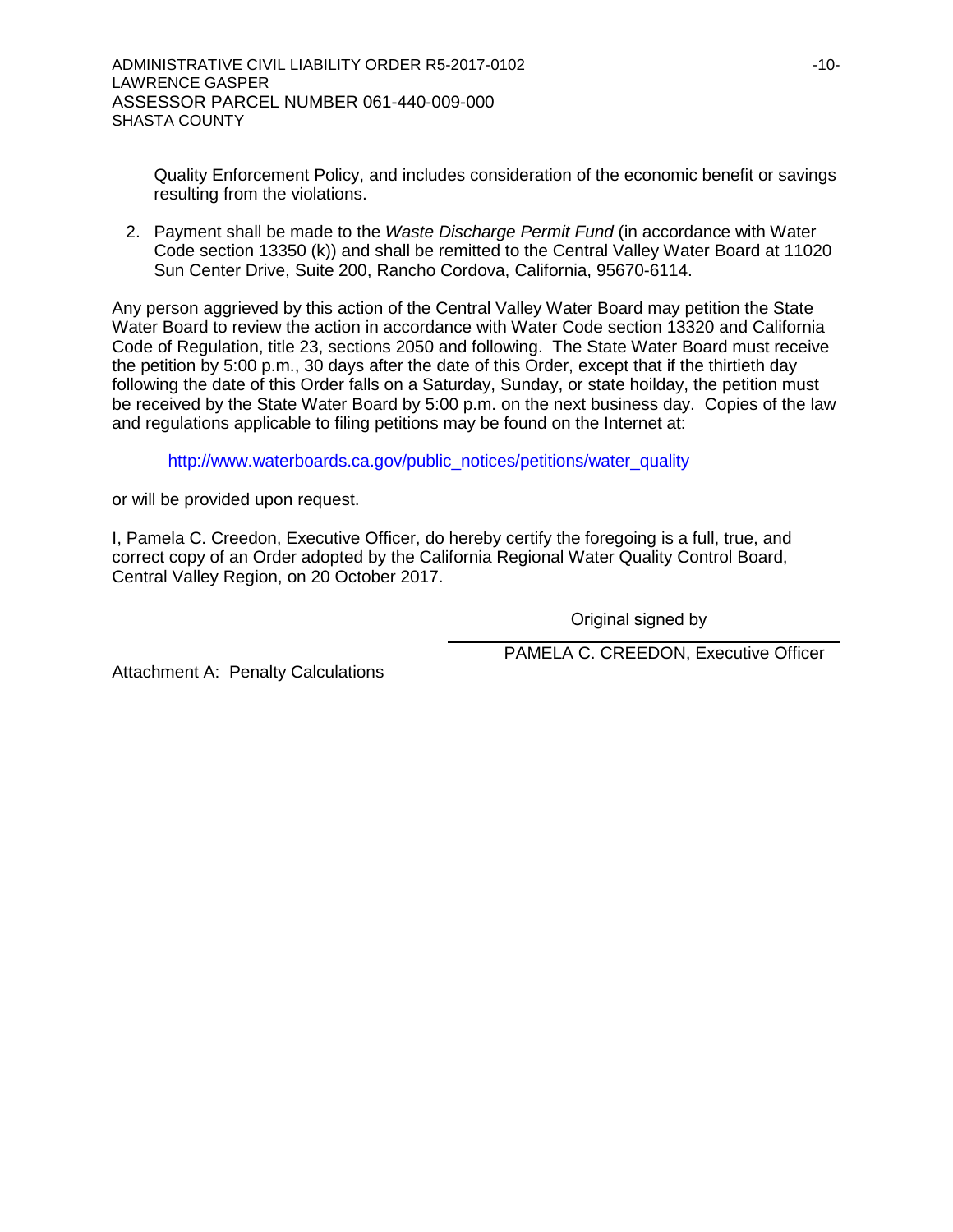Quality Enforcement Policy, and includes consideration of the economic benefit or savings resulting from the violations.

2. Payment shall be made to the *Waste Discharge Permit Fund* (in accordance with Water Code section 13350 (k)) and shall be remitted to the Central Valley Water Board at 11020 Sun Center Drive, Suite 200, Rancho Cordova, California, 95670-6114.

Any person aggrieved by this action of the Central Valley Water Board may petition the State Water Board to review the action in accordance with Water Code section 13320 and California Code of Regulation, title 23, sections 2050 and following. The State Water Board must receive the petition by 5:00 p.m., 30 days after the date of this Order, except that if the thirtieth day following the date of this Order falls on a Saturday, Sunday, or state hoilday, the petition must be received by the State Water Board by 5:00 p.m. on the next business day. Copies of the law and regulations applicable to filing petitions may be found on the Internet at:

[http://www.waterboards.ca.gov/public\\_notices/petitions/water\\_quality](http://www.waterboards.ca.gov/public_notices/petitions/water_quality)

or will be provided upon request.

I, Pamela C. Creedon, Executive Officer, do hereby certify the foregoing is a full, true, and correct copy of an Order adopted by the California Regional Water Quality Control Board, Central Valley Region, on 20 October 2017.

Original signed by

PAMELA C. CREEDON, Executive Officer

Attachment A: Penalty Calculations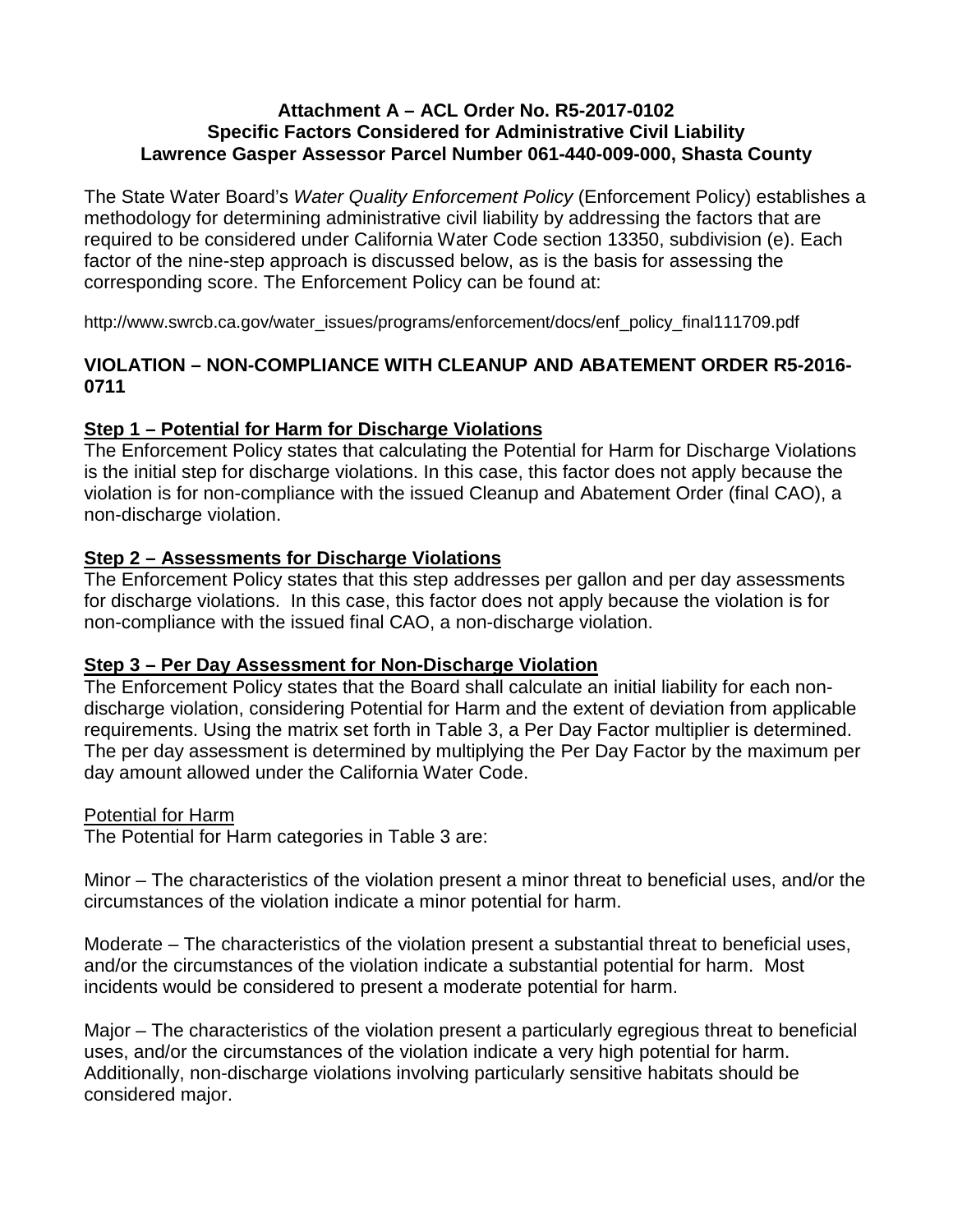## **Attachment A – ACL Order No. R5-2017-0102 Specific Factors Considered for Administrative Civil Liability Lawrence Gasper Assessor Parcel Number 061-440-009-000, Shasta County**

The State Water Board's *Water Quality Enforcement Policy* (Enforcement Policy) establishes a methodology for determining administrative civil liability by addressing the factors that are required to be considered under California Water Code section 13350, subdivision (e). Each factor of the nine-step approach is discussed below, as is the basis for assessing the corresponding score. The Enforcement Policy can be found at:

http://www.swrcb.ca.gov/water\_issues/programs/enforcement/docs/enf\_policy\_final111709.pdf

# **VIOLATION – NON-COMPLIANCE WITH CLEANUP AND ABATEMENT ORDER R5-2016- 0711**

# **Step 1 – Potential for Harm for Discharge Violations**

The Enforcement Policy states that calculating the Potential for Harm for Discharge Violations is the initial step for discharge violations. In this case, this factor does not apply because the violation is for non-compliance with the issued Cleanup and Abatement Order (final CAO), a non-discharge violation.

# **Step 2 – Assessments for Discharge Violations**

The Enforcement Policy states that this step addresses per gallon and per day assessments for discharge violations. In this case, this factor does not apply because the violation is for non-compliance with the issued final CAO, a non-discharge violation.

# **Step 3 – Per Day Assessment for Non-Discharge Violation**

The Enforcement Policy states that the Board shall calculate an initial liability for each nondischarge violation, considering Potential for Harm and the extent of deviation from applicable requirements. Using the matrix set forth in Table 3, a Per Day Factor multiplier is determined. The per day assessment is determined by multiplying the Per Day Factor by the maximum per day amount allowed under the California Water Code.

# Potential for Harm

The Potential for Harm categories in Table 3 are:

Minor – The characteristics of the violation present a minor threat to beneficial uses, and/or the circumstances of the violation indicate a minor potential for harm.

Moderate – The characteristics of the violation present a substantial threat to beneficial uses, and/or the circumstances of the violation indicate a substantial potential for harm. Most incidents would be considered to present a moderate potential for harm.

Major – The characteristics of the violation present a particularly egregious threat to beneficial uses, and/or the circumstances of the violation indicate a very high potential for harm. Additionally, non-discharge violations involving particularly sensitive habitats should be considered major.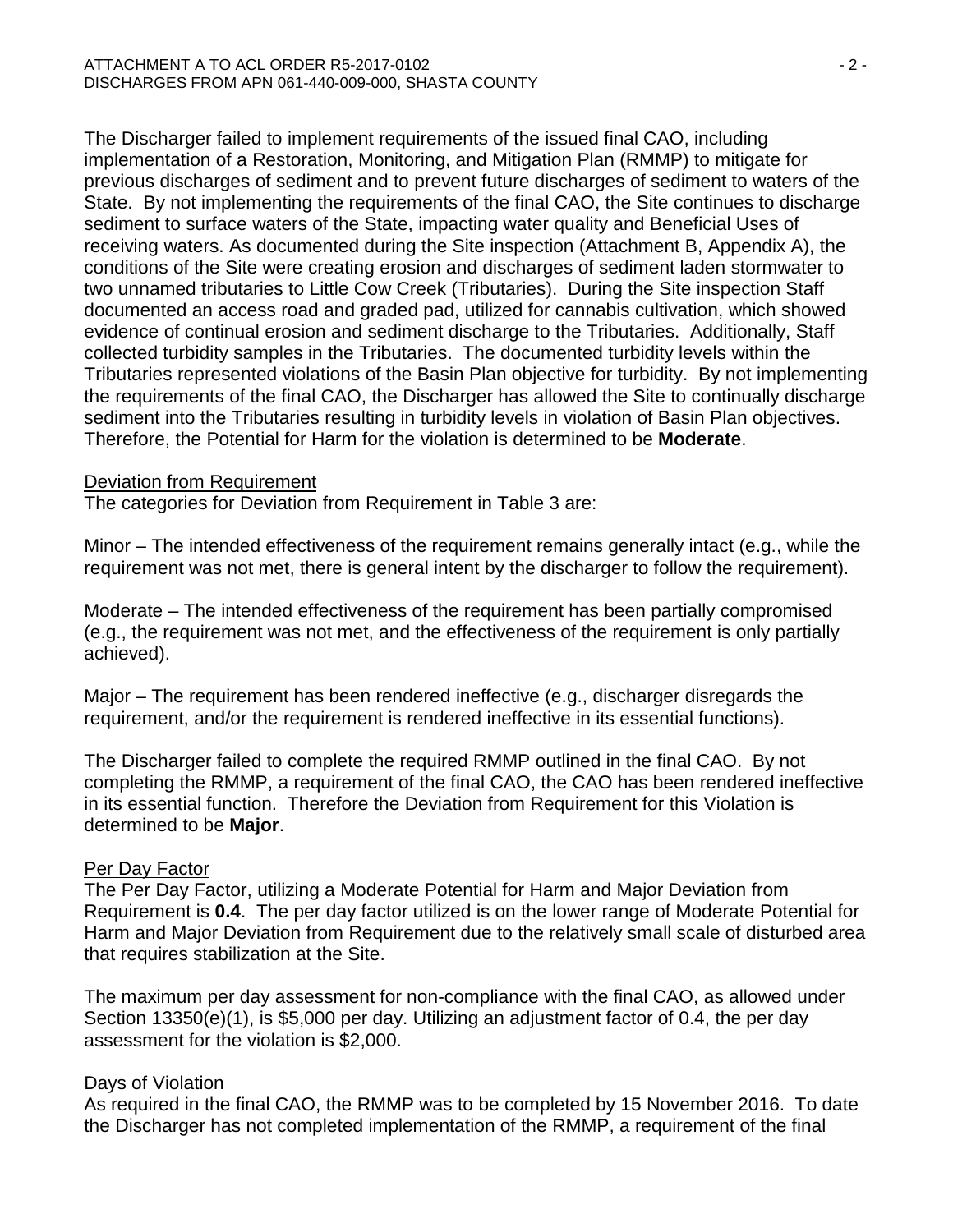The Discharger failed to implement requirements of the issued final CAO, including implementation of a Restoration, Monitoring, and Mitigation Plan (RMMP) to mitigate for previous discharges of sediment and to prevent future discharges of sediment to waters of the State. By not implementing the requirements of the final CAO, the Site continues to discharge sediment to surface waters of the State, impacting water quality and Beneficial Uses of receiving waters. As documented during the Site inspection (Attachment B, Appendix A), the conditions of the Site were creating erosion and discharges of sediment laden stormwater to two unnamed tributaries to Little Cow Creek (Tributaries). During the Site inspection Staff documented an access road and graded pad, utilized for cannabis cultivation, which showed evidence of continual erosion and sediment discharge to the Tributaries. Additionally, Staff collected turbidity samples in the Tributaries. The documented turbidity levels within the Tributaries represented violations of the Basin Plan objective for turbidity. By not implementing the requirements of the final CAO, the Discharger has allowed the Site to continually discharge sediment into the Tributaries resulting in turbidity levels in violation of Basin Plan objectives. Therefore, the Potential for Harm for the violation is determined to be **Moderate**.

## Deviation from Requirement

The categories for Deviation from Requirement in Table 3 are:

Minor – The intended effectiveness of the requirement remains generally intact (e.g., while the requirement was not met, there is general intent by the discharger to follow the requirement).

Moderate – The intended effectiveness of the requirement has been partially compromised (e.g., the requirement was not met, and the effectiveness of the requirement is only partially achieved).

Major – The requirement has been rendered ineffective (e.g., discharger disregards the requirement, and/or the requirement is rendered ineffective in its essential functions).

The Discharger failed to complete the required RMMP outlined in the final CAO. By not completing the RMMP, a requirement of the final CAO, the CAO has been rendered ineffective in its essential function. Therefore the Deviation from Requirement for this Violation is determined to be **Major**.

### Per Day Factor

The Per Day Factor, utilizing a Moderate Potential for Harm and Major Deviation from Requirement is **0.4**. The per day factor utilized is on the lower range of Moderate Potential for Harm and Major Deviation from Requirement due to the relatively small scale of disturbed area that requires stabilization at the Site.

The maximum per day assessment for non-compliance with the final CAO, as allowed under Section 13350(e)(1), is \$5,000 per day. Utilizing an adjustment factor of 0.4, the per day assessment for the violation is \$2,000.

## Days of Violation

As required in the final CAO, the RMMP was to be completed by 15 November 2016. To date the Discharger has not completed implementation of the RMMP, a requirement of the final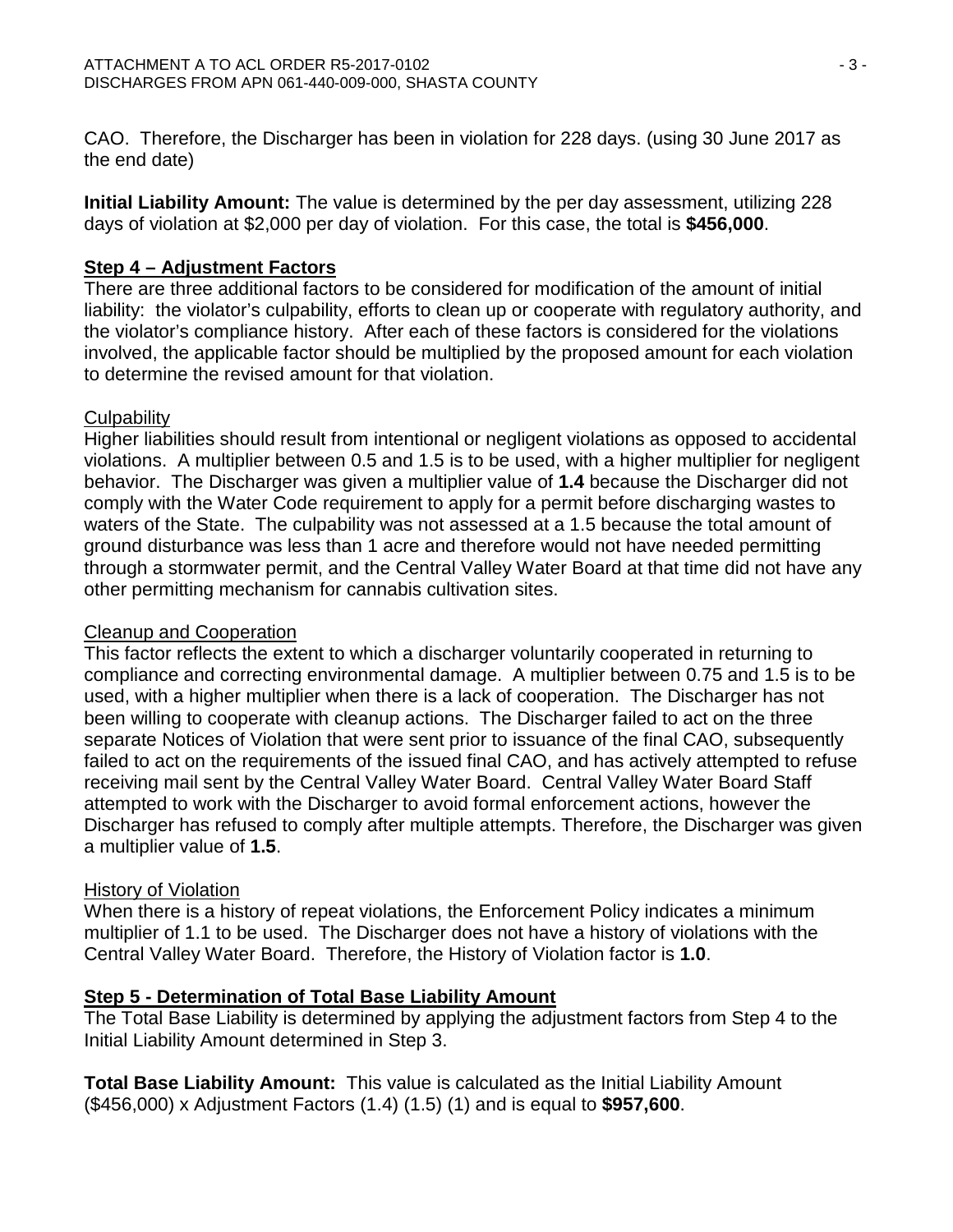CAO. Therefore, the Discharger has been in violation for 228 days. (using 30 June 2017 as the end date)

**Initial Liability Amount:** The value is determined by the per day assessment, utilizing 228 days of violation at \$2,000 per day of violation. For this case, the total is **\$456,000**.

# **Step 4 – Adjustment Factors**

There are three additional factors to be considered for modification of the amount of initial liability: the violator's culpability, efforts to clean up or cooperate with regulatory authority, and the violator's compliance history. After each of these factors is considered for the violations involved, the applicable factor should be multiplied by the proposed amount for each violation to determine the revised amount for that violation.

# **Culpability**

Higher liabilities should result from intentional or negligent violations as opposed to accidental violations. A multiplier between 0.5 and 1.5 is to be used, with a higher multiplier for negligent behavior. The Discharger was given a multiplier value of **1.4** because the Discharger did not comply with the Water Code requirement to apply for a permit before discharging wastes to waters of the State. The culpability was not assessed at a 1.5 because the total amount of ground disturbance was less than 1 acre and therefore would not have needed permitting through a stormwater permit, and the Central Valley Water Board at that time did not have any other permitting mechanism for cannabis cultivation sites.

## Cleanup and Cooperation

This factor reflects the extent to which a discharger voluntarily cooperated in returning to compliance and correcting environmental damage. A multiplier between 0.75 and 1.5 is to be used, with a higher multiplier when there is a lack of cooperation. The Discharger has not been willing to cooperate with cleanup actions. The Discharger failed to act on the three separate Notices of Violation that were sent prior to issuance of the final CAO, subsequently failed to act on the requirements of the issued final CAO, and has actively attempted to refuse receiving mail sent by the Central Valley Water Board. Central Valley Water Board Staff attempted to work with the Discharger to avoid formal enforcement actions, however the Discharger has refused to comply after multiple attempts. Therefore, the Discharger was given a multiplier value of **1.5**.

## History of Violation

When there is a history of repeat violations, the Enforcement Policy indicates a minimum multiplier of 1.1 to be used. The Discharger does not have a history of violations with the Central Valley Water Board. Therefore, the History of Violation factor is **1.0**.

## **Step 5 - Determination of Total Base Liability Amount**

The Total Base Liability is determined by applying the adjustment factors from Step 4 to the Initial Liability Amount determined in Step 3.

**Total Base Liability Amount:** This value is calculated as the Initial Liability Amount (\$456,000) x Adjustment Factors (1.4) (1.5) (1) and is equal to **\$957,600**.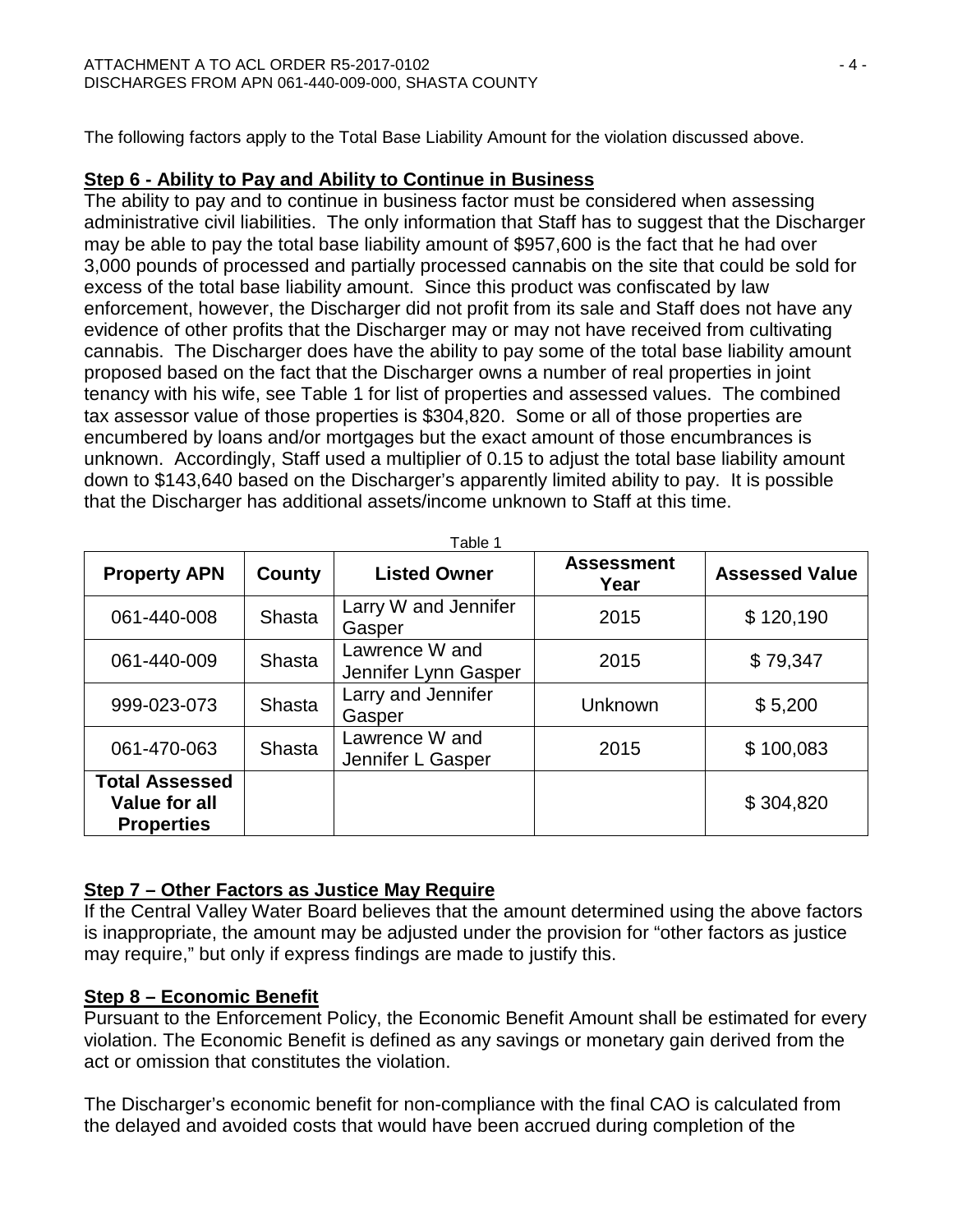The following factors apply to the Total Base Liability Amount for the violation discussed above.

## **Step 6 - Ability to Pay and Ability to Continue in Business**

The ability to pay and to continue in business factor must be considered when assessing administrative civil liabilities. The only information that Staff has to suggest that the Discharger may be able to pay the total base liability amount of \$957,600 is the fact that he had over 3,000 pounds of processed and partially processed cannabis on the site that could be sold for excess of the total base liability amount. Since this product was confiscated by law enforcement, however, the Discharger did not profit from its sale and Staff does not have any evidence of other profits that the Discharger may or may not have received from cultivating cannabis. The Discharger does have the ability to pay some of the total base liability amount proposed based on the fact that the Discharger owns a number of real properties in joint tenancy with his wife, see Table 1 for list of properties and assessed values. The combined tax assessor value of those properties is \$304,820. Some or all of those properties are encumbered by loans and/or mortgages but the exact amount of those encumbrances is unknown. Accordingly, Staff used a multiplier of 0.15 to adjust the total base liability amount down to \$143,640 based on the Discharger's apparently limited ability to pay. It is possible that the Discharger has additional assets/income unknown to Staff at this time.

| Table 1                                                            |        |                                        |                           |                       |  |  |
|--------------------------------------------------------------------|--------|----------------------------------------|---------------------------|-----------------------|--|--|
| <b>Property APN</b>                                                | County | <b>Listed Owner</b>                    | <b>Assessment</b><br>Year | <b>Assessed Value</b> |  |  |
| 061-440-008                                                        | Shasta | Larry W and Jennifer<br>Gasper         | 2015                      | \$120,190             |  |  |
| 061-440-009                                                        | Shasta | Lawrence W and<br>Jennifer Lynn Gasper | 2015                      | \$79,347              |  |  |
| 999-023-073                                                        | Shasta | Larry and Jennifer<br>Gasper           | Unknown                   | \$5,200               |  |  |
| 061-470-063                                                        | Shasta | Lawrence W and<br>Jennifer L Gasper    | 2015                      | \$100,083             |  |  |
| <b>Total Assessed</b><br><b>Value for all</b><br><b>Properties</b> |        |                                        |                           | \$304,820             |  |  |

# **Step 7 – Other Factors as Justice May Require**

If the Central Valley Water Board believes that the amount determined using the above factors is inappropriate, the amount may be adjusted under the provision for "other factors as justice may require," but only if express findings are made to justify this.

## **Step 8 – Economic Benefit**

Pursuant to the Enforcement Policy, the Economic Benefit Amount shall be estimated for every violation. The Economic Benefit is defined as any savings or monetary gain derived from the act or omission that constitutes the violation.

The Discharger's economic benefit for non-compliance with the final CAO is calculated from the delayed and avoided costs that would have been accrued during completion of the